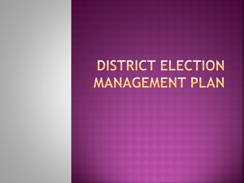# **DISTRICT ELECTION MANAGEMENT PLAN**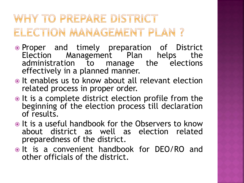#### WHY TO PREPARE DISTRICT ELECTION MANAGEMENT PLAN?

- Proper and timely preparation of District Election Management Plan helps the administration to manage the elections effectively in a planned manner.
- It enables us to know about all relevant election related process in proper order.
- It is a complete district election profile from the beginning of the election process till declaration of results.
- It is a useful handbook for the Observers to know about district as well as election related preparedness of the district.
- It is a convenient handbook for DEO/RO and other officials of the district.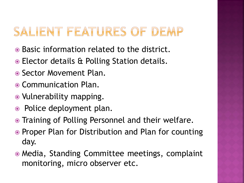## SALIENT FEATURES OF DEMP

- Basic information related to the district.
- Elector details & Polling Station details.
- Sector Movement Plan.
- Communication Plan.
- Vulnerability mapping.
- Police deployment plan.
- Training of Polling Personnel and their welfare.
- Proper Plan for Distribution and Plan for counting day.
- Media, Standing Committee meetings, complaint monitoring, micro observer etc.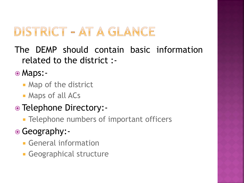## DISTRICT - AT A GLANCE

The DEMP should contain basic information related to the district :-

Maps:-

- **Map of the district**
- Maps of all ACs
- Telephone Directory:-
	- **Telephone numbers of important officers**
- Geography:-
	- **General information**
	- **Geographical structure**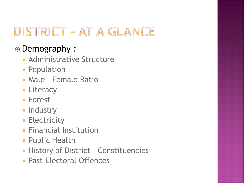## DISTRICT - AT A GLANCE

#### Demography :-

- **Administrative Structure**
- **Population**
- Male Female Ratio
- **Eliteracy**
- **Forest**
- **Industry**
- **Electricity**
- **Financial Institution**
- **Public Health**
- **History of District Constituencies**
- **Past Electoral Offences**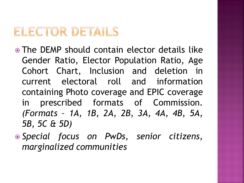#### ELECTOR DETAILS

- The DEMP should contain elector details like Gender Ratio, Elector Population Ratio, Age Cohort Chart, Inclusion and deletion in current electoral roll and information containing Photo coverage and EPIC coverage in prescribed formats of Commission. *(Formats – 1A, 1B, 2A, 2B, 3A, 4A, 4B, 5A, 5B, 5C & 5D)*
- *Special focus on PwDs, senior citizens, marginalized communities*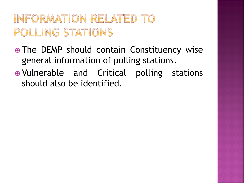#### INFORMATION RELATED TO POLLING STATIONS

- The DEMP should contain Constituency wise general information of polling stations.
- Vulnerable and Critical polling stations should also be identified.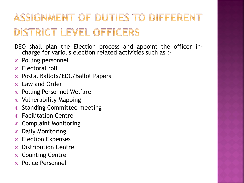### ASSIGNMENT OF DUTIES TO DIFFERENT DISTRICT LEVEL OFFICERS

- DEO shall plan the Election process and appoint the officer incharge for various election related activities such as :-
- Polling personnel
- Electoral roll
- Postal Ballots/EDC/Ballot Papers
- Law and Order
- Polling Personnel Welfare
- Vulnerability Mapping
- Standing Committee meeting
- Facilitation Centre
- Complaint Monitoring
- Daily Monitoring
- Election Expenses
- Distribution Centre
- Counting Centre
- Police Personnel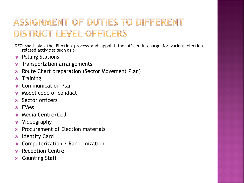#### ASSIGNMENT OF DUTIES TO DIFFERENT DISTRICT LEVEL OFFICERS

DEO shall plan the Election process and appoint the officer in-charge for various election related activities such as :-

- Polling Stations
- Transportation arrangements
- Route Chart preparation (Sector Movement Plan)
- Training
- Communication Plan
- Model code of conduct
- Sector officers
- EVMs
- Media Centre/Cell
- Videography
- Procurement of Election materials
- Identity Card
- Computerization / Randomization
- Reception Centre
- **◎** Counting Staff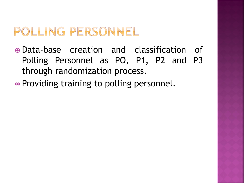#### POLLING PERSONNEL

- Data-base creation and classification of Polling Personnel as PO, P1, P2 and P3 through randomization process.
- Providing training to polling personnel.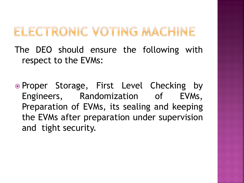#### ELECTRONIC VOTING MACHINE

The DEO should ensure the following with respect to the EVMs:

. Proper Storage, First Level Checking by Engineers, Randomization of EVMs, Preparation of EVMs, its sealing and keeping the EVMs after preparation under supervision and tight security.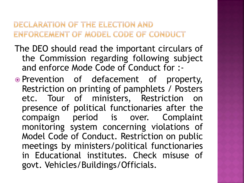#### DECLARATION OF THE ELECTION AND ENFORCEMENT OF MODEL CODE OF CONDUCT

- The DEO should read the important circulars of the Commission regarding following subject and enforce Mode Code of Conduct for :-
- Prevention of defacement of property, Restriction on printing of pamphlets / Posters etc. Tour of ministers, Restriction on presence of political functionaries after the compaign period is over. Complaint monitoring system concerning violations of Model Code of Conduct. Restriction on public meetings by ministers/political functionaries in Educational institutes. Check misuse of govt. Vehicles/Buildings/Officials.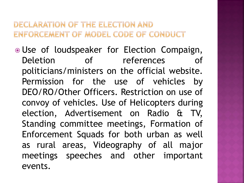#### DECLARATION OF THE ELECTION AND ENFORCEMENT OF MODEL CODE OF CONDUCT

 Use of loudspeaker for Election Compaign, Deletion of references of politicians/ministers on the official website. Permission for the use of vehicles by DEO/RO/Other Officers. Restriction on use of convoy of vehicles. Use of Helicopters during election, Advertisement on Radio & TV, Standing committee meetings, Formation of Enforcement Squads for both urban as well as rural areas, Videography of all major meetings speeches and other important events.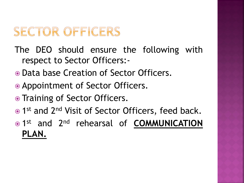## SECTOR OFFICERS

The DEO should ensure the following with respect to Sector Officers:-

- Data base Creation of Sector Officers.
- Appointment of Sector Officers.
- Training of Sector Officers.
- 1<sup>st</sup> and 2<sup>nd</sup> Visit of Sector Officers, feed back.
- $\odot$  1<sup>st</sup> and 2<sup>nd</sup> rehearsal of **COMMUNICATION PLAN.**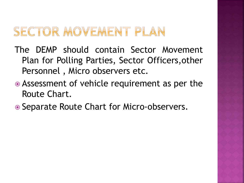#### SECTOR MOVEMENT PLAN

- The DEMP should contain Sector Movement Plan for Polling Parties, Sector Officers,other Personnel , Micro observers etc.
- Assessment of vehicle requirement as per the Route Chart.
- Separate Route Chart for Micro-observers.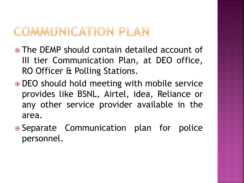#### COMMUNICATION PLAN

- The DEMP should contain detailed account of III tier Communication Plan, at DEO office, RO Officer & Polling Stations.
- DEO should hold meeting with mobile service provides like BSNL, Airtel, idea, Reliance or any other service provider available in the area.
- Separate Communication plan for police personnel.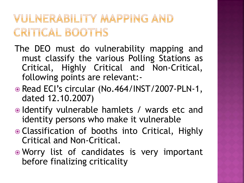#### VULNERABILITY MAPPING AND **CRITICAL BOOTHS**

- The DEO must do vulnerability mapping and must classify the various Polling Stations as Critical, Highly Critical and Non-Critical, following points are relevant:-
- Read ECI's circular (No.464/INST/2007-PLN-1, dated 12.10.2007)
- Identify vulnerable hamlets / wards etc and identity persons who make it vulnerable
- Classification of booths into Critical, Highly Critical and Non-Critical.
- Worry list of candidates is very important before finalizing criticality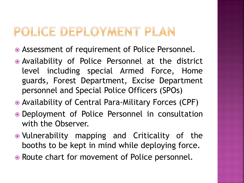#### POLICE DEPLOYMENT PLAN

- Assessment of requirement of Police Personnel.
- Availability of Police Personnel at the district level including special Armed Force, Home guards, Forest Department, Excise Department personnel and Special Police Officers (SPOs)
- Availability of Central Para-Military Forces (CPF)
- Deployment of Police Personnel in consultation with the Observer.
- Vulnerability mapping and Criticality of the booths to be kept in mind while deploying force.
- Route chart for movement of Police personnel.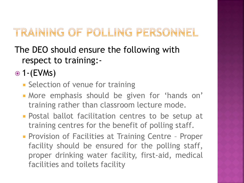#### TRAINING OF POLLING PERSONNEL

- The DEO should ensure the following with respect to training:-
- $\odot$  1-(EVMs)
	- **Selection of venue for training**
	- More emphasis should be given for 'hands on' training rather than classroom lecture mode.
	- **Postal ballot facilitation centres to be setup at** training centres for the benefit of polling staff.
	- **Provision of Facilities at Training Centre Proper** facility should be ensured for the polling staff, proper drinking water facility, first-aid, medical facilities and toilets facility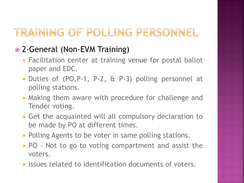#### TRAINING OF POLLING PERSONNEL

#### 2-General (Non-EVM Training)

- Facilitation center at training venue for postal ballot paper and EDC.
- Duties of (PO,P-1, P-2, & P-3) polling personnel at polling stations.
- **Making them aware with procedure for challenge and** Tender voting.
- Get the acquainted will all compulsory declaration to be made by PO at different times.
- **Polling Agents to be voter in same polling stations.**
- **PO** Not to go to voting compartment and assist the voters.
- **ISSUES related to identification documents of voters.**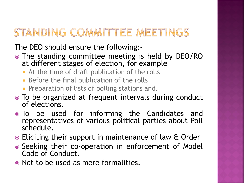#### STANDING COMMITTEE MEETINGS

The DEO should ensure the following:-

- The standing committee meeting is held by DEO/RO at different stages of election, for example –
	- **At the time of draft publication of the rolls**
	- **Before the final publication of the rolls**
	- **Preparation of lists of polling stations and.**
- To be organized at frequent intervals during conduct of elections.
- To be used for informing the Candidates and representatives of various political parties about Poll schedule.
- Eliciting their support in maintenance of law & Order
- Seeking their co-operation in enforcement of Model Code of Conduct.
- Not to be used as mere formalities.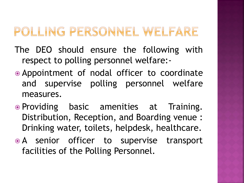## POLLING PERSONNEL WELFARE

- The DEO should ensure the following with respect to polling personnel welfare:-
- Appointment of nodal officer to coordinate and supervise polling personnel welfare measures.
- Providing basic amenities at Training. Distribution, Reception, and Boarding venue : Drinking water, toilets, helpdesk, healthcare.
- A senior officer to supervise transport facilities of the Polling Personnel.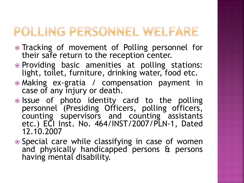## POLLING PERSONNEL WELFARE

- Tracking of movement of Polling personnel for their safe return to the reception center.
- Providing basic amenities at polling stations: light, toilet, furniture, drinking water, food etc.
- Making ex-gratia / compensation payment in case of any injury or death.
- . Issue of photo identity card to the polling personnel (Presiding Officers, polling officers, counting supervisors and counting assistants etc.) ECI Inst. No. 464/INST/2007/PLN-1, Dated 12.10.2007
- Special care while classifying in case of women and physically handicapped persons & persons having mental disability.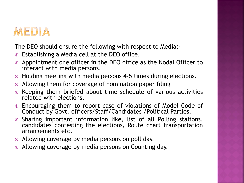

The DEO should ensure the following with respect to Media:-

- Establishing a Media cell at the DEO office.
- Appointment one officer in the DEO office as the Nodal Officer to interact with media persons.
- Holding meeting with media persons 4-5 times during elections.
- Allowing them for coverage of nomination paper filing
- Keeping them briefed about time schedule of various activities related with elections.
- Encouraging them to report case of violations of Model Code of Conduct by Govt. officers/Staff/Candidates /Political Parties.
- Sharing important information like, list of all Polling stations, candidates contesting the elections, Route chart transportation arrangements etc.
- Allowing coverage by media persons on poll day.
- Allowing coverage by media persons on Counting day.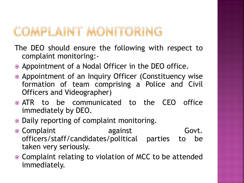### COMPLAINT MONITORING

- The DEO should ensure the following with respect to complaint monitoring:-
- Appointment of a Nodal Officer in the DEO office.
- Appointment of an Inquiry Officer (Constituency wise formation of team comprising a Police and Civil Officers and Videographer)
- ATR to be communicated to the CEO office immediately by DEO.
- Daily reporting of complaint monitoring.
- Complaint **against** Govt. officers/staff/candidates/political parties to be taken very seriously.
- Complaint relating to violation of MCC to be attended immediately.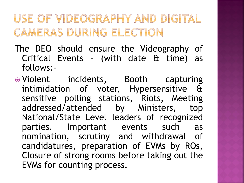#### USE OF VIDEOGRAPHY AND DIGITAL CAMERAS DURING ELECTION

- The DEO should ensure the Videography of Critical Events – (with date & time) as follows:-
- Violent incidents, Booth capturing intimidation of voter, Hypersensitive & sensitive polling stations, Riots, Meeting addressed/attended by Ministers, top National/State Level leaders of recognized parties. Important events such as nomination, scrutiny and withdrawal of candidatures, preparation of EVMs by ROs, Closure of strong rooms before taking out the EVMs for counting process.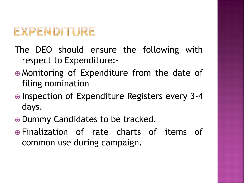## EXPENDITURE

- The DEO should ensure the following with respect to Expenditure:-
- Monitoring of Expenditure from the date of filing nomination
- Inspection of Expenditure Registers every 3-4 days.
- Dummy Candidates to be tracked.
- Finalization of rate charts of items of common use during campaign.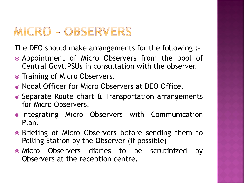#### MICRO - OBSERVERS

The DEO should make arrangements for the following :-

- Appointment of Micro Observers from the pool of Central Govt.PSUs in consultation with the observer.
- Training of Micro Observers.
- Nodal Officer for Micro Observers at DEO Office.
- Separate Route chart & Transportation arrangements for Micro Observers.
- Integrating Micro Observers with Communication Plan.
- Briefing of Micro Observers before sending them to Polling Station by the Observer (if possible)
- Micro Observers diaries to be scrutinized by Observers at the reception centre.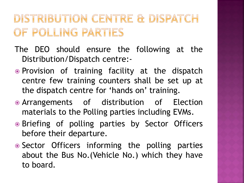#### DISTRIBUTION CENTRE & DISPATCH OF POLLING PARTIES

- The DEO should ensure the following at the Distribution/Dispatch centre:-
- Provision of training facility at the dispatch centre few training counters shall be set up at the dispatch centre for 'hands on' training.
- Arrangements of distribution of Election materials to the Polling parties including EVMs.
- Briefing of polling parties by Sector Officers before their departure.
- Sector Officers informing the polling parties about the Bus No.(Vehicle No.) which they have to board.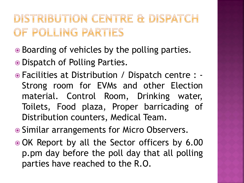#### DISTRIBUTION CENTRE & DISPATCH OF POLLING PARTIES

- Boarding of vehicles by the polling parties.
- Dispatch of Polling Parties.
- Facilities at Distribution / Dispatch centre : Strong room for EVMs and other Election material. Control Room, Drinking water, Toilets, Food plaza, Proper barricading of Distribution counters, Medical Team.
- Similar arrangements for Micro Observers.
- OK Report by all the Sector officers by 6.00 p.pm day before the poll day that all polling parties have reached to the R.O.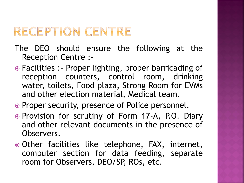#### RECEPTION CENTRE

- The DEO should ensure the following at the Reception Centre :-
- Facilities :- Proper lighting, proper barricading of reception counters, control room, drinking water, toilets, Food plaza, Strong Room for EVMs and other election material, Medical team.
- Proper security, presence of Police personnel.
- Provision for scrutiny of Form 17-A, P.O. Diary and other relevant documents in the presence of Observers.
- Other facilities like telephone, FAX, internet, computer section for data feeding, separate room for Observers, DEO/SP, ROs, etc.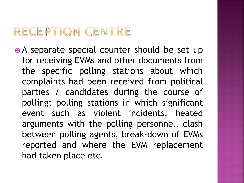#### RECEPTION CENTRE

• A separate special counter should be set up for receiving EVMs and other documents from the specific polling stations about which complaints had been received from political parties / candidates during the course of polling; polling stations in which significant event such as violent incidents, heated arguments with the polling personnel, clash between polling agents, break-down of EVMs reported and where the EVM replacement had taken place etc.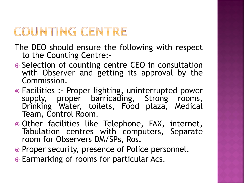## COUNTING CENTRE

The DEO should ensure the following with respect to the Counting Centre:-

- Selection of counting centre CEO in consultation with Observer and getting its approval by the Commission.
- Facilities :- Proper lighting, uninterrupted power supply, proper barricading, Strong rooms, Drinking Water, toilets, Food plaza, Medical Team, Control Room.
- Other facilities like Telephone, FAX, internet, Tabulation centres with computers, Separate room for Observers DM/SPs, Ros.
- Proper security, presence of Police personnel.
- Earmarking of rooms for particular Acs.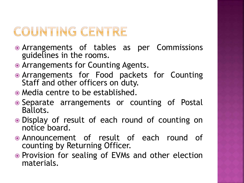## COUNTING CENTRE

- Arrangements of tables as per Commissions guidelines in the rooms.
- Arrangements for Counting Agents.
- Arrangements for Food packets for Counting Staff and other officers on duty.
- Media centre to be established.
- Separate arrangements or counting of Postal Ballots.
- Display of result of each round of counting on notice board.
- Announcement of result of each round of counting by Returning Officer.
- Provision for sealing of EVMs and other election materials.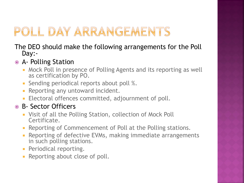## POLL DAY ARRANGEMENTS

#### The DEO should make the following arrangements for the Poll Day:-

#### A- Polling Station

- **Mock Poll in presence of Polling Agents and its reporting as well** as certification by PO.
- **Sending periodical reports about poll %.**
- **Reporting any untoward incident.**
- **Electoral offences committed, adjournment of poll.**

#### B- Sector Officers

- Visit of all the Polling Station, collection of Mock Poll Certificate.
- **Reporting of Commencement of Poll at the Polling stations.**
- **Reporting of defective EVMs, making immediate arrangements** in such polling stations.
- **Periodical reporting.**
- **Reporting about close of poll.**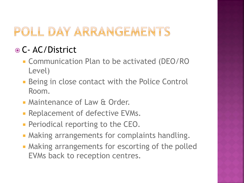## POLL DAY ARRANGEMENTS

#### C- AC/District

- **EX Communication Plan to be activated (DEO/RO** Level)
- **Being in close contact with the Police Control** Room.
- **Maintenance of Law & Order.**
- **Replacement of defective EVMs.**
- **Periodical reporting to the CEO.**
- **Making arrangements for complaints handling.**
- **Making arrangements for escorting of the polled** EVMs back to reception centres.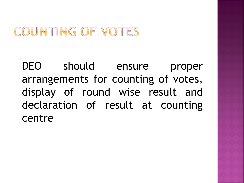#### COUNTING OF VOTES

DEO should ensure proper arrangements for counting of votes, display of round wise result and declaration of result at counting centre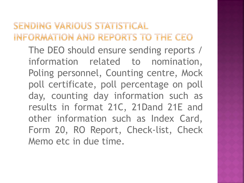SENDING VARIOUS STATISTICAL INFORMATION AND REPORTS TO THE CEO The DEO should ensure sending reports / information related to nomination, Poling personnel, Counting centre, Mock poll certificate, poll percentage on poll day, counting day information such as results in format 21C, 21Dand 21E and other information such as Index Card, Form 20, RO Report, Check-list, Check Memo etc in due time.